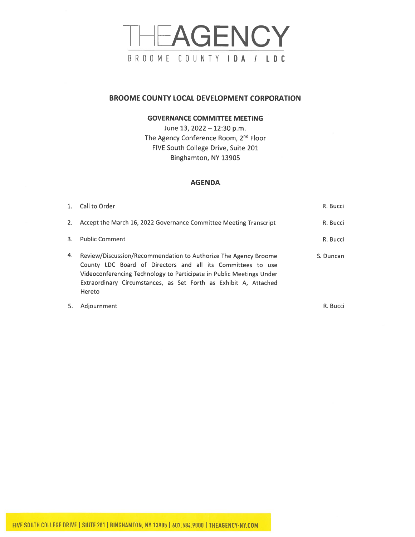# THEAGENCY BROOME COUNTY IDA / LDC

## **BROOME COUNTY LOCAL DEVELOPMENT CORPORATION**

#### **GOVERNANCE COMMITTEE MEETING**

June 13, 2022 - 12:30 p.m. The Agency Conference Room, 2<sup>nd</sup> Floor FIVE South College Drive, Suite 201 Binghamton, NY 13905

#### **AGENDA**

|    | 1. Call to Order                                                                                                                                                                                                                                                                     | R. Bucci  |
|----|--------------------------------------------------------------------------------------------------------------------------------------------------------------------------------------------------------------------------------------------------------------------------------------|-----------|
| 2. | Accept the March 16, 2022 Governance Committee Meeting Transcript                                                                                                                                                                                                                    | R. Bucci  |
| 3. | <b>Public Comment</b>                                                                                                                                                                                                                                                                | R. Bucci  |
| 4. | Review/Discussion/Recommendation to Authorize The Agency Broome<br>County LDC Board of Directors and all its Committees to use<br>Videoconferencing Technology to Participate in Public Meetings Under<br>Extraordinary Circumstances, as Set Forth as Exhibit A, Attached<br>Hereto | S. Duncan |
| 5. | Adjournment                                                                                                                                                                                                                                                                          | R. Bucci  |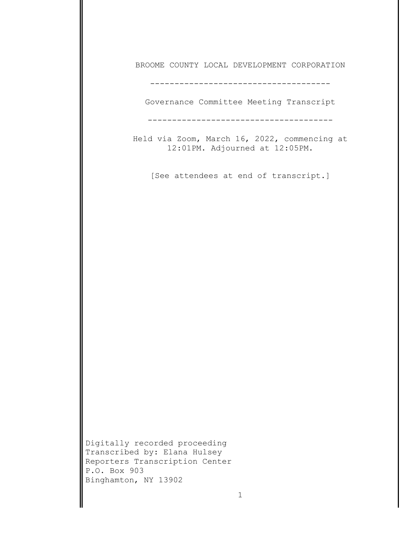BROOME COUNTY LOCAL DEVELOPMENT CORPORATION

-------------------------------------

Governance Committee Meeting Transcript

--------------------------------------

Held via Zoom, March 16, 2022, commencing at 12:01PM. Adjourned at 12:05PM.

[See attendees at end of transcript.]

Digitally recorded proceeding Transcribed by: Elana Hulsey Reporters Transcription Center P.O. Box 903 Binghamton, NY 13902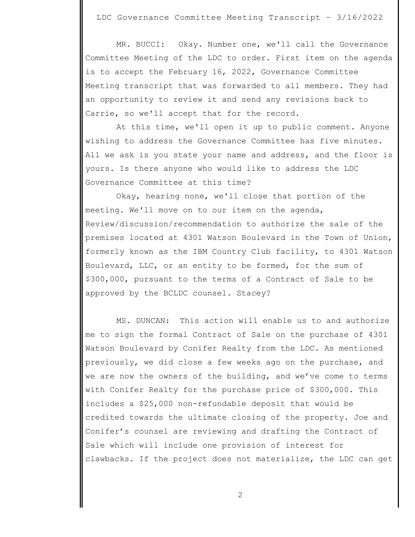LDC Governance Committee Meeting Transcript – 3/16/2022

 MR. BUCCI: Okay. Number one, we'll call the Governance Committee Meeting of the LDC to order. First item on the agenda is to accept the February 16, 2022, Governance Committee Meeting transcript that was forwarded to all members. They had an opportunity to review it and send any revisions back to Carrie, so we'll accept that for the record.

 At this time, we'll open it up to public comment. Anyone wishing to address the Governance Committee has five minutes. All we ask is you state your name and address, and the floor is yours. Is there anyone who would like to address the LDC Governance Committee at this time?

 Okay, hearing none, we'll close that portion of the meeting. We'll move on to our item on the agenda, Review/discussion/recommendation to authorize the sale of the premises located at 4301 Watson Boulevard in the Town of Union, formerly known as the IBM Country Club facility, to 4301 Watson Boulevard, LLC, or an entity to be formed, for the sum of \$300,000, pursuant to the terms of a Contract of Sale to be approved by the BCLDC counsel. Stacey?

 MS. DUNCAN: This action will enable us to and authorize me to sign the formal Contract of Sale on the purchase of 4301 Watson Boulevard by Conifer Realty from the LDC. As mentioned previously, we did close a few weeks ago on the purchase, and we are now the owners of the building, and we've come to terms with Conifer Realty for the purchase price of \$300,000. This includes a \$25,000 non-refundable deposit that would be credited towards the ultimate closing of the property. Joe and Conifer's counsel are reviewing and drafting the Contract of Sale which will include one provision of interest for clawbacks. If the project does not materialize, the LDC can get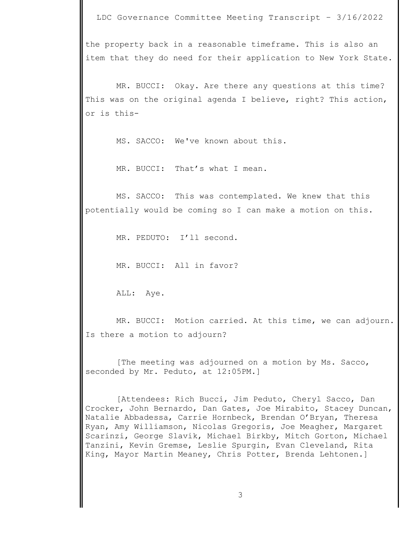LDC Governance Committee Meeting Transcript – 3/16/2022

the property back in a reasonable timeframe. This is also an item that they do need for their application to New York State.

 MR. BUCCI: Okay. Are there any questions at this time? This was on the original agenda I believe, right? This action, or is this-

MS. SACCO: We've known about this.

MR. BUCCI: That's what I mean.

 MS. SACCO: This was contemplated. We knew that this potentially would be coming so I can make a motion on this.

MR. PEDUTO: I'll second.

MR. BUCCI: All in favor?

ALL: Aye.

 MR. BUCCI: Motion carried. At this time, we can adjourn. Is there a motion to adjourn?

 [The meeting was adjourned on a motion by Ms. Sacco, seconded by Mr. Peduto, at 12:05PM.]

 [Attendees: Rich Bucci, Jim Peduto, Cheryl Sacco, Dan Crocker, John Bernardo, Dan Gates, Joe Mirabito, Stacey Duncan, Natalie Abbadessa, Carrie Hornbeck, Brendan O'Bryan, Theresa Ryan, Amy Williamson, Nicolas Gregoris, Joe Meagher, Margaret Scarinzi, George Slavik, Michael Birkby, Mitch Gorton, Michael Tanzini, Kevin Gremse, Leslie Spurgin, Evan Cleveland, Rita King, Mayor Martin Meaney, Chris Potter, Brenda Lehtonen.]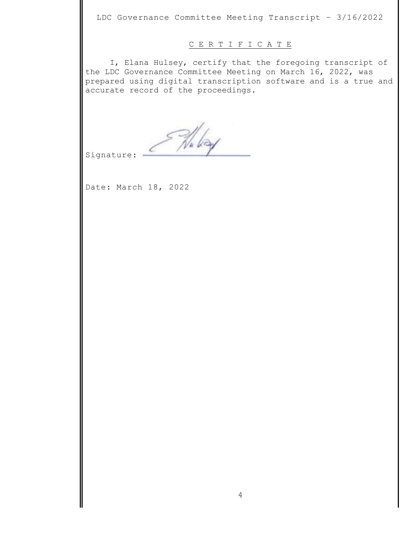LDC Governance Committee Meeting Transcript – 3/16/2022

### C E R T I F I C A T E

I, Elana Hulsey, certify that the foregoing transcript of the LDC Governance Committee Meeting on March 16, 2022, was prepared using digital transcription software and is a true and accurate record of the proceedings.

Nu bay

Signature:

Date: March 18, 2022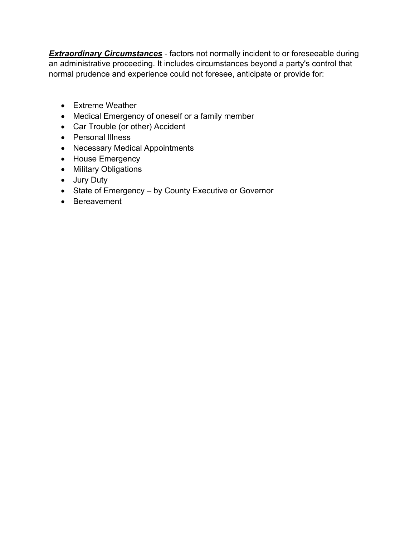**Extraordinary Circumstances** - factors not normally incident to or foreseeable during an administrative proceeding. It includes circumstances beyond a party's control that normal prudence and experience could not foresee, anticipate or provide for:

- Extreme Weather
- Medical Emergency of oneself or a family member
- Car Trouble (or other) Accident
- Personal Illness
- Necessary Medical Appointments
- House Emergency
- Military Obligations
- Jury Duty
- State of Emergency by County Executive or Governor
- Bereavement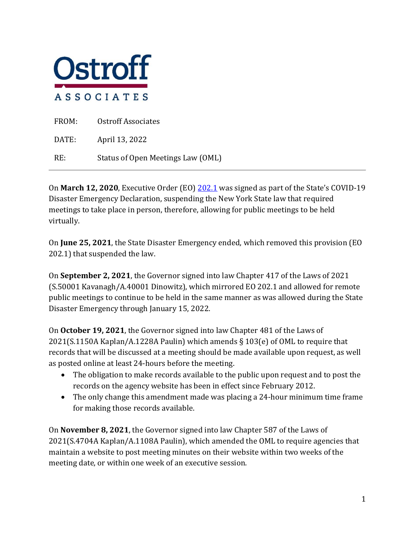

| FROM: | <b>Ostroff Associates</b>         |
|-------|-----------------------------------|
| DATE: | April 13, 2022                    |
| RE:   | Status of Open Meetings Law (OML) |

On **March 12, 2020**, Executive Order (EO) [202.1](https://www.governor.ny.gov/sites/default/files/atoms/files/EO_202_1.pdf) was signed as part of the State's COVID-19 Disaster Emergency Declaration, suspending the New York State law that required meetings to take place in person, therefore, allowing for public meetings to be held virtually.

On **June 25, 2021**, the State Disaster Emergency ended, which removed this provision (EO 202.1) that suspended the law.

On **September 2, 2021**, the Governor signed into law Chapter 417 of the Laws of 2021 (S.50001 Kavanagh/A.40001 Dinowitz), which mirrored EO 202.1 and allowed for remote public meetings to continue to be held in the same manner as was allowed during the State Disaster Emergency through January 15, 2022.

On **October 19, 2021**, the Governor signed into law Chapter 481 of the Laws of 2021(S.1150A Kaplan/A.1228A Paulin) which amends § 103(e) of OML to require that records that will be discussed at a meeting should be made available upon request, as well as posted online at least 24-hours before the meeting.

- The obligation to make records available to the public upon request and to post the records on the agency website has been in effect since February 2012.
- The only change this amendment made was placing a 24-hour minimum time frame for making those records available.

On **November 8, 2021**, the Governor signed into law Chapter 587 of the Laws of 2021(S.4704A Kaplan/A.1108A Paulin), which amended the OML to require agencies that maintain a website to post meeting minutes on their website within two weeks of the meeting date, or within one week of an executive session.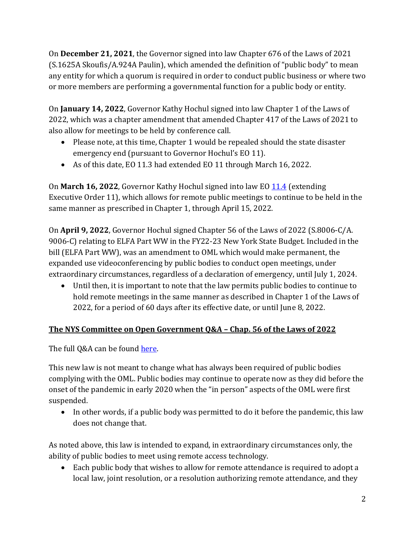On **December 21, 2021**, the Governor signed into law Chapter 676 of the Laws of 2021 (S.1625A Skoufis/A.924A Paulin), which amended the definition of "public body" to mean any entity for which a quorum is required in order to conduct public business or where two or more members are performing a governmental function for a public body or entity.

On **January 14, 2022**, Governor Kathy Hochul signed into law Chapter 1 of the Laws of 2022, which was a chapter amendment that amended Chapter 417 of the Laws of 2021 to also allow for meetings to be held by conference call.

- Please note, at this time, Chapter 1 would be repealed should the state disaster emergency end (pursuant to Governor Hochul's EO 11).
- As of this date, EO 11.3 had extended EO 11 through March 16, 2022.

On **March 16, 2022**, Governor Kathy Hochul signed into law EO [11.4](https://www.governor.ny.gov/sites/default/files/2022-03/EO_11.4.pdf) (extending Executive Order 11), which allows for remote public meetings to continue to be held in the same manner as prescribed in Chapter 1, through April 15, 2022.

On **April 9, 2022**, Governor Hochul signed Chapter 56 of the Laws of 2022 (S.8006-C/A. 9006-C) relating to ELFA Part WW in the FY22-23 New York State Budget. Included in the bill (ELFA Part WW), was an amendment to OML which would make permanent, the expanded use videoconferencing by public bodies to conduct open meetings, under extraordinary circumstances, regardless of a declaration of emergency, until July 1, 2024.

• Until then, it is important to note that the law permits public bodies to continue to hold remote meetings in the same manner as described in Chapter 1 of the Laws of 2022, for a period of 60 days after its effective date, or until June 8, 2022.

# **The NYS Committee on Open Government Q&A – Chap. 56 of the Laws of 2022**

The full Q&A can be found [here.](https://opengovernment.ny.gov/system/files/documents/2022/04/chapter-56-of-the-laws-of-2022-guidance-document-4-13-22.pdf) 

This new law is not meant to change what has always been required of public bodies complying with the OML. Public bodies may continue to operate now as they did before the onset of the pandemic in early 2020 when the "in person" aspects of the OML were first suspended.

• In other words, if a public body was permitted to do it before the pandemic, this law does not change that.

As noted above, this law is intended to expand, in extraordinary circumstances only, the ability of public bodies to meet using remote access technology.

• Each public body that wishes to allow for remote attendance is required to adopt a local law, joint resolution, or a resolution authorizing remote attendance, and they